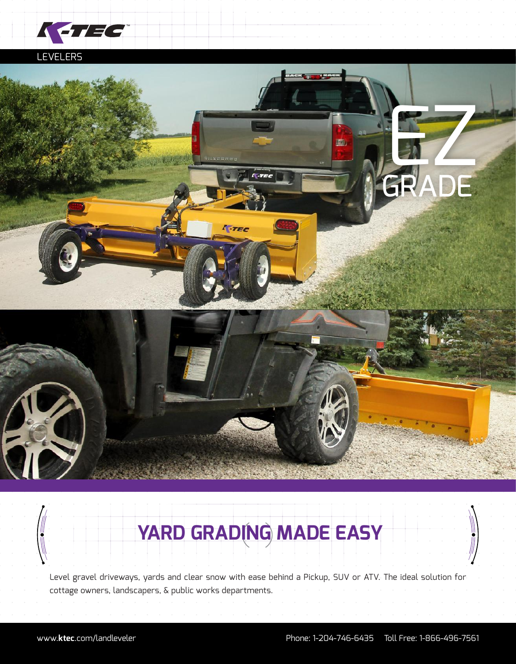

## LEVELERS



# **YARD GRADING MADE EASY**

Level gravel driveways, yards and clear snow with ease behind a Pickup, SUV or ATV. The ideal solution for cottage owners, landscapers, & public works departments.